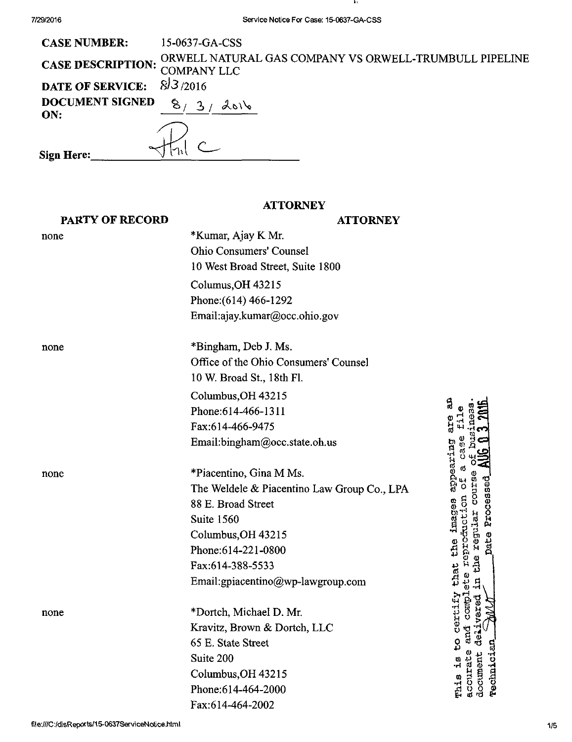$\cdot$ 

| <b>CASE NUMBER:</b>           | 15-0637-GA-CSS                                                                       |
|-------------------------------|--------------------------------------------------------------------------------------|
|                               | CASE DESCRIPTION: ORWELL NATURAL GAS COMPANY VS ORWELL-TRUMBULL PIPELINE COMPANY LLC |
| DATE OF SERVICE: $8/3/2016$   |                                                                                      |
| <b>DOCUMENT SIGNED</b><br>ON: | 8/<br>2016                                                                           |
|                               | $\mathcal{A}$                                                                        |
| Sign Here:                    |                                                                                      |

# **ATTORNEY**

| <b>PARTY OF RECORD</b> | <b>ATTORNEY</b>                             |                                 |
|------------------------|---------------------------------------------|---------------------------------|
| none                   | *Kumar, Ajay K Mr.                          |                                 |
|                        | <b>Ohio Consumers' Counsel</b>              |                                 |
|                        | 10 West Broad Street, Suite 1800            |                                 |
|                        | Columus, OH 43215                           |                                 |
|                        | Phone: (614) 466-1292                       |                                 |
|                        | Email:ajay.kumar@occ.ohio.gov               |                                 |
| none                   | *Bingham, Deb J. Ms.                        |                                 |
|                        | Office of the Ohio Consumers' Counsel       |                                 |
|                        | 10 W. Broad St., 18th Fl.                   |                                 |
|                        | Columbus, OH 43215                          |                                 |
|                        | Phone: 614-466-1311                         | ម្ល                             |
|                        | Fax:614-466-9475                            | e<br>R                          |
|                        | Email:bingham@occ.state.oh.us               |                                 |
| none                   | *Piacentino, Gina M Ms.                     | appearing                       |
|                        | The Weldele & Piacentino Law Group Co., LPA |                                 |
|                        | 88 E. Broad Street                          |                                 |
|                        | Suite 1560                                  | lmages<br>こっさん<br>regisar       |
|                        | Columbus, OH 43215                          |                                 |
|                        | Phone: 614-221-0800                         | Ehe<br>EGSI                     |
|                        | Fax:614-388-5533                            | that                            |
|                        | Email:gpiacentino@wp-lawgroup.com           |                                 |
| none                   | *Dortch, Michael D. Mr.                     | certif                          |
|                        | Kravitz, Brown & Dortch, LLC                |                                 |
|                        | 65 E. State Street                          | ಕೆ ಕಿ<br>8<br>មួ                |
|                        | Suite 200                                   | 위                               |
|                        | Columbus, OH 43215                          | Technici<br>document<br>accurat |
|                        | Phone: 614-464-2000                         | mhis                            |
|                        | Fax:614-464-2002                            |                                 |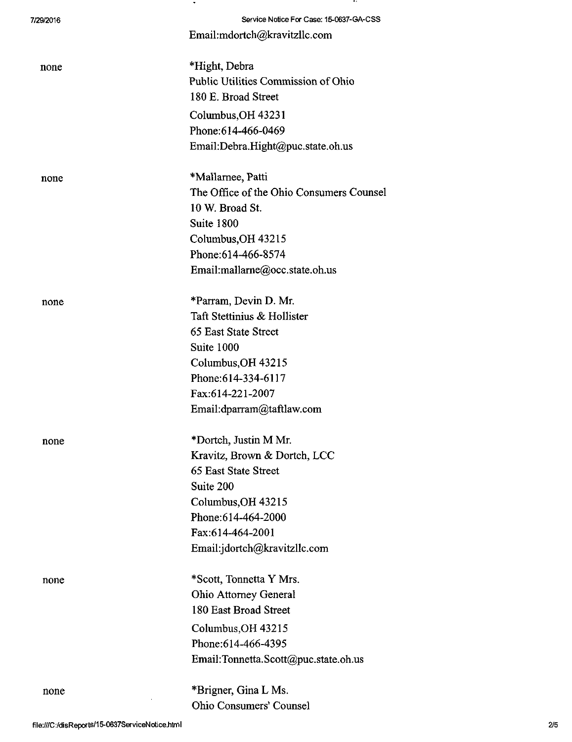| 7/29/2016 | Service Notice For Case: 15-0637-GA-CSS  |
|-----------|------------------------------------------|
|           | Email:mdortch@kravitzllc.com             |
| none      | *Hight, Debra                            |
|           | Public Utilities Commission of Ohio      |
|           | 180 E. Broad Street                      |
|           | Columbus, OH 43231                       |
|           | Phone: 614-466-0469                      |
|           | Email:Debra.Hight@puc.state.oh.us        |
| none      | *Mallarnee, Patti                        |
|           | The Office of the Ohio Consumers Counsel |
|           | 10 W. Broad St.                          |
|           | Suite 1800                               |
|           | Columbus, OH 43215                       |
|           | Phone: 614-466-8574                      |
|           | Email:mallarne@occ.state.oh.us           |
| none      | *Parram, Devin D. Mr.                    |
|           | Taft Stettinius & Hollister              |
|           | 65 East State Street                     |
|           | Suite 1000                               |
|           | Columbus, OH 43215                       |
|           | Phone: 614-334-6117                      |
|           | Fax:614-221-2007                         |
|           | Email:dparram@taftlaw.com                |
| none      | *Dortch, Justin M Mr.                    |
|           | Kravitz, Brown & Dortch, LCC             |
|           | 65 East State Street                     |
|           | Suite 200                                |
|           | Columbus, OH 43215                       |
|           | Phone: 614-464-2000                      |
|           | Fax:614-464-2001                         |
|           | Email:jdortch@kravitzllc.com             |
| none      | *Scott, Tonnetta Y Mrs.                  |
|           | <b>Ohio Attorney General</b>             |
|           | 180 East Broad Street                    |
|           | Columbus, OH 43215                       |
|           | Phone: 614-466-4395                      |
|           | Email:Tonnetta.Scott@puc.state.oh.us     |
| none      | *Brigner, Gina L Ms.                     |
|           | <b>Ohio Consumers' Counsel</b>           |

 $\sim$ 

- 14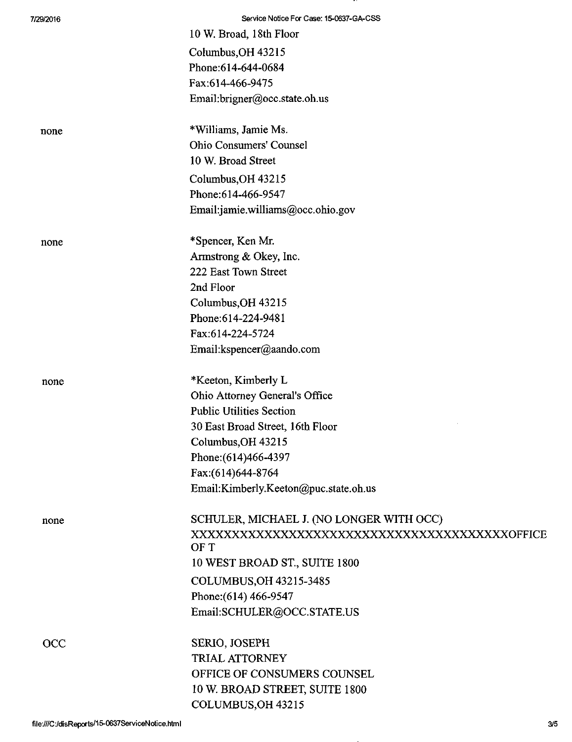| 7/29/2016  | Service Notice For Case: 15-0637-GA-CSS  |
|------------|------------------------------------------|
|            | 10 W. Broad, 18th Floor                  |
|            | Columbus, OH 43215                       |
|            | Phone: 614-644-0684                      |
|            | Fax:614-466-9475                         |
|            | Email:brigner@occ.state.oh.us            |
| none       | *Williams, Jamie Ms.                     |
|            | Ohio Consumers' Counsel                  |
|            | 10 W. Broad Street                       |
|            | Columbus, OH 43215                       |
|            | Phone: 614-466-9547                      |
|            | Email:jamie.williams@occ.ohio.gov        |
| none       | *Spencer, Ken Mr.                        |
|            | Armstrong & Okey, Inc.                   |
|            | 222 East Town Street                     |
|            | 2nd Floor                                |
|            | Columbus, OH 43215                       |
|            | Phone: 614-224-9481                      |
|            | Fax:614-224-5724                         |
|            | Email: kspencer@aando.com                |
| none       | *Keeton, Kimberly L                      |
|            | Ohio Attorney General's Office           |
|            | <b>Public Utilities Section</b>          |
|            | 30 East Broad Street, 16th Floor         |
|            | Columbus, OH 43215                       |
|            | Phone: (614) 466-4397                    |
|            | Fax:(614)644-8764                        |
|            | Email:Kimberly.Keeton@puc.state.oh.us    |
| none       | SCHULER, MICHAEL J. (NO LONGER WITH OCC) |
|            | OF T                                     |
|            | 10 WEST BROAD ST., SUITE 1800            |
|            | COLUMBUS, OH 43215-3485                  |
|            | Phone: (614) 466-9547                    |
|            | Email:SCHULER@OCC.STATE.US               |
| <b>OCC</b> | SERIO, JOSEPH                            |
|            | TRIAL ATTORNEY                           |
|            | OFFICE OF CONSUMERS COUNSEL              |
|            | 10 W. BROAD STREET, SUITE 1800           |
|            | COLUMBUS, OH 43215                       |

-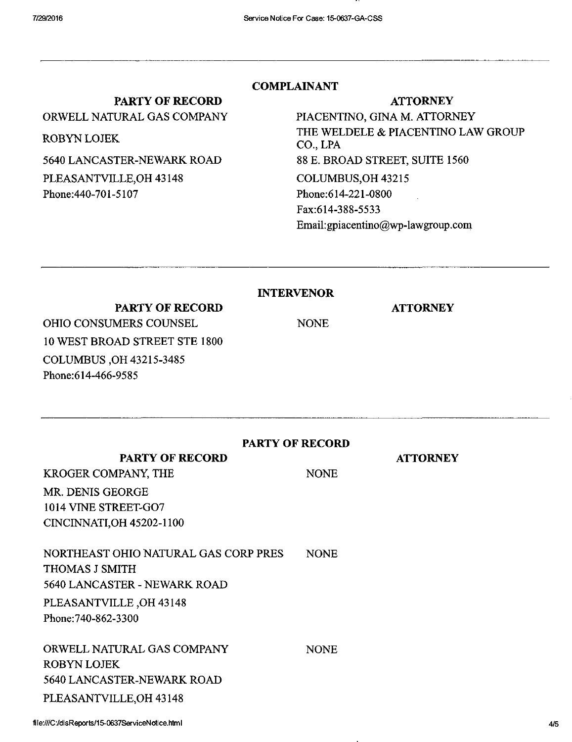## PARTY OF RECORD

ORWELL NATURAL GAS COMPANY

ROBYN LOJEK

5640 LANCASTER-NEWARK ROAD PLEASANTVILLE,OH 43148 Phone:440-701-5107

## COMPLAINANT

ATTORNEY

PIACENTINO, GINA M. ATTORNEY THE WELDELE & PIACENTINO LAW GROUP CO., LPA 88 E. BROAD STREET, SUITE 1560 COLUMBUS,OH 43215 Phone:614-221-0800 Fax:614-388-5533 Email:[gpiacentino@wp-lawgroup.com](mailto:gpiacentino@wp-lawgroup.com) 

INTERVENOR

NONE

**ATTORNEY** 

**ATTORNEY** 

PARTY OF RECORD OHIO CONSUMERS COUNSEL 10 WEST BROAD STREET STE 1800 COLUMBUS ,0H 43215-3485 Phone:614-466-9585

### PARTY OF RECORD

NONE

NONE

PARTY OF RECORD

KROGER COMPANY, THE MR. DENIS GEORGE 1014 VINE STREET-G07 CINCINNATI, OH 45202-1100

NORTHEAST OHIO NATURAL GAS CORP PRES THOMAS J SMITH 5640 LANCASTER - NEWARK ROAD PLEASANTVILLE ,OH 43148 Phone:740-862-3300 NONE

ORWELL NATURAL GAS COMPANY ROBYN LOJEK 5640 LANCASTER-NEWARK ROAD PLEASANTVILLE,OH 43148